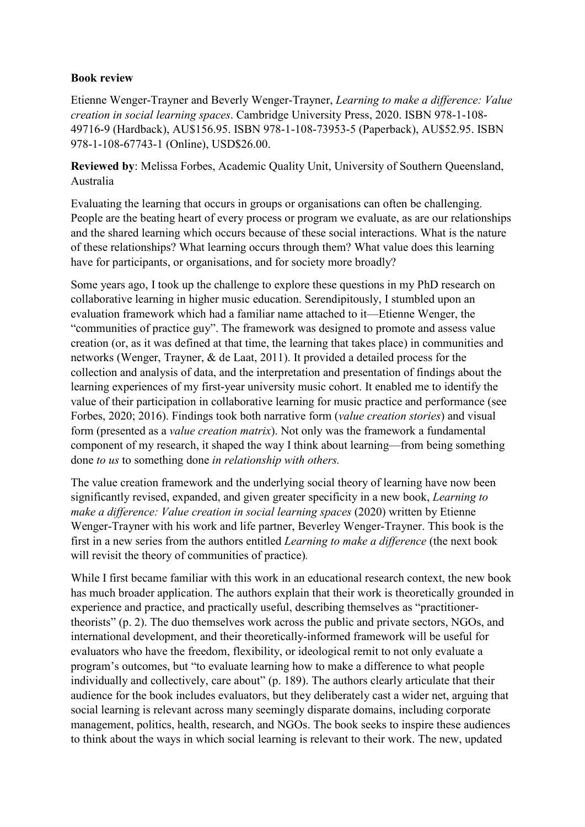## **Book review**

Etienne Wenger-Trayner and Beverly Wenger-Trayner, *Learning to make a difference: Value creation in social learning spaces*. Cambridge University Press, 2020. ISBN 978-1-108- 49716-9 (Hardback), AU\$156.95. ISBN 978-1-108-73953-5 (Paperback), AU\$52.95. ISBN 978-1-108-67743-1 (Online), USD\$26.00.

**Reviewed by**: Melissa Forbes, Academic Quality Unit, University of Southern Queensland, Australia

Evaluating the learning that occurs in groups or organisations can often be challenging. People are the beating heart of every process or program we evaluate, as are our relationships and the shared learning which occurs because of these social interactions. What is the nature of these relationships? What learning occurs through them? What value does this learning have for participants, or organisations, and for society more broadly?

Some years ago, I took up the challenge to explore these questions in my PhD research on collaborative learning in higher music education. Serendipitously, I stumbled upon an evaluation framework which had a familiar name attached to it—Etienne Wenger, the "communities of practice guy". The framework was designed to promote and assess value creation (or, as it was defined at that time, the learning that takes place) in communities and networks (Wenger, Trayner, & de Laat, 2011). It provided a detailed process for the collection and analysis of data, and the interpretation and presentation of findings about the learning experiences of my first-year university music cohort. It enabled me to identify the value of their participation in collaborative learning for music practice and performance (see Forbes, 2020; 2016). Findings took both narrative form (*value creation stories*) and visual form (presented as a *value creation matrix*). Not only was the framework a fundamental component of my research, it shaped the way I think about learning—from being something done *to us* to something done *in relationship with others.*

The value creation framework and the underlying social theory of learning have now been significantly revised, expanded, and given greater specificity in a new book, *Learning to make a difference: Value creation in social learning spaces* (2020) written by Etienne Wenger-Trayner with his work and life partner, Beverley Wenger-Trayner. This book is the first in a new series from the authors entitled *Learning to make a difference* (the next book will revisit the theory of communities of practice)*.* 

While I first became familiar with this work in an educational research context, the new book has much broader application. The authors explain that their work is theoretically grounded in experience and practice, and practically useful, describing themselves as "practitionertheorists" (p. 2). The duo themselves work across the public and private sectors, NGOs, and international development, and their theoretically-informed framework will be useful for evaluators who have the freedom, flexibility, or ideological remit to not only evaluate a program's outcomes, but "to evaluate learning how to make a difference to what people individually and collectively, care about" (p. 189). The authors clearly articulate that their audience for the book includes evaluators, but they deliberately cast a wider net, arguing that social learning is relevant across many seemingly disparate domains, including corporate management, politics, health, research, and NGOs. The book seeks to inspire these audiences to think about the ways in which social learning is relevant to their work. The new, updated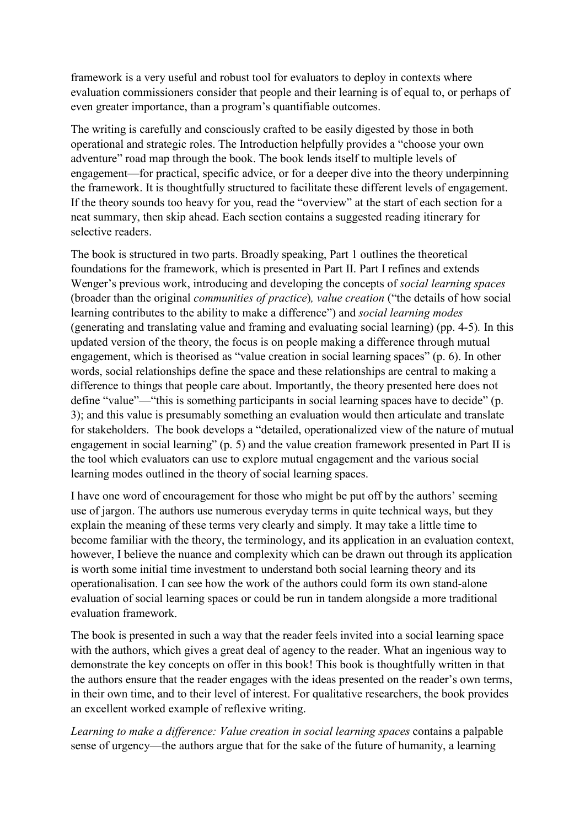framework is a very useful and robust tool for evaluators to deploy in contexts where evaluation commissioners consider that people and their learning is of equal to, or perhaps of even greater importance, than a program's quantifiable outcomes.

The writing is carefully and consciously crafted to be easily digested by those in both operational and strategic roles. The Introduction helpfully provides a "choose your own adventure" road map through the book. The book lends itself to multiple levels of engagement—for practical, specific advice, or for a deeper dive into the theory underpinning the framework. It is thoughtfully structured to facilitate these different levels of engagement. If the theory sounds too heavy for you, read the "overview" at the start of each section for a neat summary, then skip ahead. Each section contains a suggested reading itinerary for selective readers.

The book is structured in two parts. Broadly speaking, Part 1 outlines the theoretical foundations for the framework, which is presented in Part II. Part I refines and extends Wenger's previous work, introducing and developing the concepts of *social learning spaces* (broader than the original *communities of practice*)*, value creation* ("the details of how social learning contributes to the ability to make a difference") and *social learning modes* (generating and translating value and framing and evaluating social learning) (pp. 4-5)*.* In this updated version of the theory, the focus is on people making a difference through mutual engagement, which is theorised as "value creation in social learning spaces" (p. 6). In other words, social relationships define the space and these relationships are central to making a difference to things that people care about. Importantly, the theory presented here does not define "value"—"this is something participants in social learning spaces have to decide" (p. 3); and this value is presumably something an evaluation would then articulate and translate for stakeholders. The book develops a "detailed, operationalized view of the nature of mutual engagement in social learning" (p. 5) and the value creation framework presented in Part II is the tool which evaluators can use to explore mutual engagement and the various social learning modes outlined in the theory of social learning spaces.

I have one word of encouragement for those who might be put off by the authors' seeming use of jargon. The authors use numerous everyday terms in quite technical ways, but they explain the meaning of these terms very clearly and simply. It may take a little time to become familiar with the theory, the terminology, and its application in an evaluation context, however, I believe the nuance and complexity which can be drawn out through its application is worth some initial time investment to understand both social learning theory and its operationalisation. I can see how the work of the authors could form its own stand-alone evaluation of social learning spaces or could be run in tandem alongside a more traditional evaluation framework.

The book is presented in such a way that the reader feels invited into a social learning space with the authors, which gives a great deal of agency to the reader. What an ingenious way to demonstrate the key concepts on offer in this book! This book is thoughtfully written in that the authors ensure that the reader engages with the ideas presented on the reader's own terms, in their own time, and to their level of interest. For qualitative researchers, the book provides an excellent worked example of reflexive writing.

*Learning to make a difference: Value creation in social learning spaces* contains a palpable sense of urgency—the authors argue that for the sake of the future of humanity, a learning